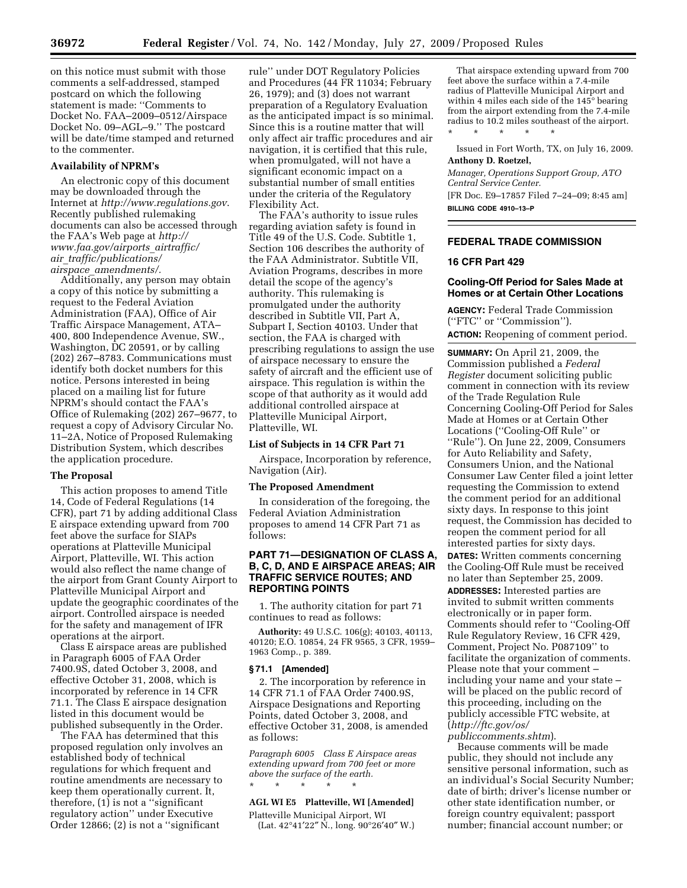on this notice must submit with those comments a self-addressed, stamped postcard on which the following statement is made: ''Comments to Docket No. FAA–2009–0512/Airspace Docket No. 09–AGL–9.'' The postcard will be date/time stamped and returned to the commenter.

# **Availability of NPRM's**

An electronic copy of this document may be downloaded through the Internet at *http://www.regulations.gov*. Recently published rulemaking documents can also be accessed through the FAA's Web page at *http:// www.faa.gov/airports*\_*airtraffic/ air*\_*traffic/publications/ airspace*\_*amendments/.* 

Additionally, any person may obtain a copy of this notice by submitting a request to the Federal Aviation Administration (FAA), Office of Air Traffic Airspace Management, ATA– 400, 800 Independence Avenue, SW., Washington, DC 20591, or by calling (202) 267–8783. Communications must identify both docket numbers for this notice. Persons interested in being placed on a mailing list for future NPRM's should contact the FAA's Office of Rulemaking (202) 267–9677, to request a copy of Advisory Circular No. 11–2A, Notice of Proposed Rulemaking Distribution System, which describes the application procedure.

# **The Proposal**

This action proposes to amend Title 14, Code of Federal Regulations (14 CFR), part 71 by adding additional Class E airspace extending upward from 700 feet above the surface for SIAPs operations at Platteville Municipal Airport, Platteville, WI. This action would also reflect the name change of the airport from Grant County Airport to Platteville Municipal Airport and update the geographic coordinates of the airport. Controlled airspace is needed for the safety and management of IFR operations at the airport.

Class E airspace areas are published in Paragraph 6005 of FAA Order 7400.9S, dated October 3, 2008, and effective October 31, 2008, which is incorporated by reference in 14 CFR 71.1. The Class E airspace designation listed in this document would be published subsequently in the Order.

The FAA has determined that this proposed regulation only involves an established body of technical regulations for which frequent and routine amendments are necessary to keep them operationally current. It, therefore,  $(1)$  is not a "significant regulatory action'' under Executive Order 12866; (2) is not a ''significant

rule'' under DOT Regulatory Policies and Procedures (44 FR 11034; February 26, 1979); and (3) does not warrant preparation of a Regulatory Evaluation as the anticipated impact is so minimal. Since this is a routine matter that will only affect air traffic procedures and air navigation, it is certified that this rule, when promulgated, will not have a significant economic impact on a substantial number of small entities under the criteria of the Regulatory Flexibility Act.

The FAA's authority to issue rules regarding aviation safety is found in Title 49 of the U.S. Code. Subtitle 1, Section 106 describes the authority of the FAA Administrator. Subtitle VII, Aviation Programs, describes in more detail the scope of the agency's authority. This rulemaking is promulgated under the authority described in Subtitle VII, Part A, Subpart I, Section 40103. Under that section, the FAA is charged with prescribing regulations to assign the use of airspace necessary to ensure the safety of aircraft and the efficient use of airspace. This regulation is within the scope of that authority as it would add additional controlled airspace at Platteville Municipal Airport, Platteville, WI.

### **List of Subjects in 14 CFR Part 71**

Airspace, Incorporation by reference, Navigation (Air).

#### **The Proposed Amendment**

In consideration of the foregoing, the Federal Aviation Administration proposes to amend 14 CFR Part 71 as follows:

# **PART 71—DESIGNATION OF CLASS A, B, C, D, AND E AIRSPACE AREAS; AIR TRAFFIC SERVICE ROUTES; AND REPORTING POINTS**

1. The authority citation for part 71 continues to read as follows:

**Authority:** 49 U.S.C. 106(g); 40103, 40113, 40120; E.O. 10854, 24 FR 9565, 3 CFR, 1959– 1963 Comp., p. 389.

#### **§ 71.1 [Amended]**

2. The incorporation by reference in 14 CFR 71.1 of FAA Order 7400.9S, Airspace Designations and Reporting Points, dated October 3, 2008, and effective October 31, 2008, is amended as follows:

*Paragraph 6005 Class E Airspace areas extending upward from 700 feet or more above the surface of the earth.*  \* \* \* \* \*

### **AGL WI E5 Platteville, WI [Amended]**

Platteville Municipal Airport, WI (Lat.  $42^{\circ}41'22''$  N., long.  $90^{\circ}26'40''$  W.)

That airspace extending upward from 700 feet above the surface within a 7.4-mile radius of Platteville Municipal Airport and within 4 miles each side of the 145° bearing from the airport extending from the 7.4-mile radius to 10.2 miles southeast of the airport. \* \* \* \* \*

Issued in Fort Worth, TX, on July 16, 2009. **Anthony D. Roetzel,** 

*Manager, Operations Support Group, ATO Central Service Center.*  [FR Doc. E9–17857 Filed 7–24–09; 8:45 am] **BILLING CODE 4910–13–P** 

# **FEDERAL TRADE COMMISSION**

# **16 CFR Part 429**

# **Cooling-Off Period for Sales Made at Homes or at Certain Other Locations**

**AGENCY:** Federal Trade Commission (''FTC'' or ''Commission''). **ACTION:** Reopening of comment period.

**SUMMARY:** On April 21, 2009, the Commission published a *Federal Register* document soliciting public comment in connection with its review of the Trade Regulation Rule Concerning Cooling-Off Period for Sales Made at Homes or at Certain Other Locations (''Cooling-Off Rule'' or ''Rule''). On June 22, 2009, Consumers for Auto Reliability and Safety, Consumers Union, and the National Consumer Law Center filed a joint letter requesting the Commission to extend the comment period for an additional sixty days. In response to this joint request, the Commission has decided to reopen the comment period for all interested parties for sixty days. **DATES:** Written comments concerning the Cooling-Off Rule must be received no later than September 25, 2009. **ADDRESSES:** Interested parties are invited to submit written comments electronically or in paper form. Comments should refer to ''Cooling-Off Rule Regulatory Review, 16 CFR 429, Comment, Project No. P087109'' to facilitate the organization of comments. Please note that your comment – including your name and your state – will be placed on the public record of this proceeding, including on the publicly accessible FTC website, at (*http://ftc.gov/os/ publiccomments.shtm*).

Because comments will be made public, they should not include any sensitive personal information, such as an individual's Social Security Number; date of birth; driver's license number or other state identification number, or foreign country equivalent; passport number; financial account number; or